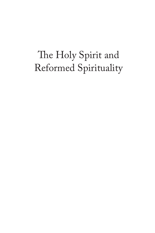# The Holy Spirit and Reformed Spirituality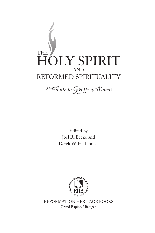

A Tribute to Geoffrey Thomas

Edited by Joel R. Beeke and Derek W. H. Thomas



REFORMATION HERITAGE BOOKS Grand Rapids, Michigan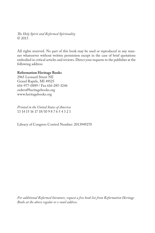*!e Holy Spirit and Reformed Spirituality* © 2013

All rights reserved. No part of this book may be used or reproduced in any manner whatsoever without written permission except in the case of brief quotations embodied in critical articles and reviews. Direct your requests to the publisher at the following address:

#### **Reformation Heritage Books**

2965 Leonard Street NE Grand Rapids, MI 49525 616-977-0889 / Fax 616-285-3246 orders@heritagebooks.org www.heritagebooks.org

*Printed in the United States of America* 13 14 15 16 17 18/10 9 8 7 6 5 4 3 2 1

Library of Congress Control Number: 2013949270

*For additional Reformed literature, request a free book list from Reformation Heritage Books at the above regular or e-mail address.*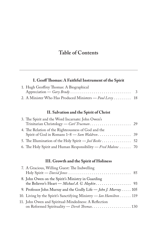# **Table of Contents**

## I. Geoff Thomas: A Faithful Instrument of the Spirit

| 1. Hugh Geoffrey Thomas: A Biographical                  |  |
|----------------------------------------------------------|--|
|                                                          |  |
| 2. A Minister Who Has Produced Ministers — Paul Levy  18 |  |

# II. Salvation and the Spirit of Christ

| 3. The Spirit and the Word Incarnate: John Owen's             |  |
|---------------------------------------------------------------|--|
|                                                               |  |
| 4. The Relation of the Righteousness of God and the           |  |
|                                                               |  |
| 5. The Illumination of the Holy Spirit - Joel Beeke 52        |  |
| 6. The Holy Spirit and Human Responsibility — Fred Malone  70 |  |

## III. Growth and the Spirit of Holiness

| 7. A Gracious, Willing Guest: The Indwelling                                                        |  |
|-----------------------------------------------------------------------------------------------------|--|
| 8. John Owen on the Spirit's Ministry in Guarding<br>the Believer's Heart — Michael A. G. Haykin 93 |  |
| 9. Professor John Murray and the Godly Life - John J. Murray 105                                    |  |
| 10. Living by the Spirit's Sanctifying Ministry — Ian Hamilton 119                                  |  |
| 11. John Owen and Spiritual-Mindedness: A Reflection<br>on Reformed Spirituality — Derek Thomas 130 |  |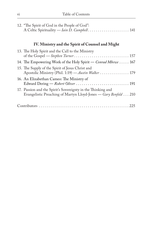| 12. "The Spirit of God in the People of God":<br>A Celtic Spirituality - Iain D. Campbell.  141                                 |
|---------------------------------------------------------------------------------------------------------------------------------|
| IV. Ministry and the Spirit of Counsel and Might                                                                                |
| 13. The Holy Spirit and the Call to the Ministry                                                                                |
| 14. The Empowering Work of the Holy Spirit — Conrad Mbewe  167                                                                  |
| 15. The Supply of the Spirit of Jesus Christ and<br>Apostolic Ministry (Phil. 1:19) - Austin Walker 179                         |
| 16. An Elizabethan Cameo: The Ministry of                                                                                       |
| 17. Passion and the Spirit's Sovereignty in the Thinking and<br>Evangelistic Preaching of Martyn Lloyd-Jones - Gary Benfold 210 |
|                                                                                                                                 |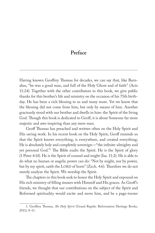# **Preface**

Having known Geoffrey Thomas for decades, we can say that, like Barnabas, "he was a good man, and full of the Holy Ghost and of faith" (Acts 11:24). Together with the other contributors to this book, we give public thanks for this brother's life and ministry on the occasion of his 75th birthday. He has been a rich blessing to us and many more. Yet we know that the blessing did not come from him, but only by means of him. Another graciously stood with our brother and dwells in him: the Spirit of the living God. Though this book is dedicated to Geoff, it is about Someone far more majestic and awe-inspiring than any mere man.

Geoff Thomas has preached and written often on the Holy Spirit and His saving work. In his recent book on the Holy Spirit, Geoff reminds us that the Spirit knows everything, is everywhere, and created everything; He is absolutely holy and completely sovereign—"the infinite-almighty and yet personal God."<sup>1</sup> The Bible exalts the Spirit. He is the Spirit of glory (1 Peter 4:14). He is the Spirit of counsel and might (Isa. 11:2). He is able to do what no human or angelic power can do: "Not by might, nor by power, but by my spirit, saith the LORD of hosts" (Zech. 4:6). Therefore we do not merely analyze the Spirit. We worship the Spirit.

The chapters in this book seek to honor the Holy Spirit and expound on His rich ministry of filling sinners with Himself and His graces. As Geoff's friends, we thought that our contributions on the subject of the Spirit and Reformed spirituality would excite and move him, and be a page-turner

<sup>1.</sup> Geoffrey Thomas, *The Holy Spirit* (Grand Rapids: Reformation Heritage Books, 2011), 8–11.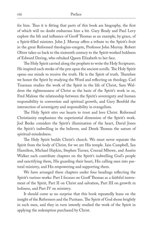for him. Thus it is fitting that parts of this book are biography, the first of which will no doubt embarrass him a bit. Gary Brady and Paul Levy explore the life and influence of Geoff Thomas as an example, by grace, of a Spirit-filled minister. John J. Murray offers a tribute to the Spirit's fruit in the great Reformed theologian-exegete, Professor John Murray. Robert Oliver takes us back to the sixteenth century to the Spirit-worked boldness of Edward Dering, who rebuked Queen Elizabeth to her face.

The Holy Spirit carried along the prophets to write the Holy Scriptures. He inspired each stroke of the pen upon the ancient scrolls. The Holy Spirit opens our minds to receive the truth. He is the Spirit of truth. Therefore we honor the Spirit by studying the Word and reflecting on theology. Carl Trueman studies the work of the Spirit in the life of Christ, Sam Waldron the righteousness of Christ as the basis of the Spirit's work in us, Fred Malone the relationship between the Spirit's sovereignty and human responsibility in conversion and spiritual growth, and Gary Benfold the intersection of sovereignty and responsibility in evangelism.

The Holy Spirit stirs our hearts to trust and love Christ. Reformed Christianity emphasizes the experiential dimension of the Spirit's work. Joel Beeke considers the Spirit's illumination of the heart, David Jones the Spirit's indwelling in the believer, and Derek Thomas the nature of spiritual-mindedness.

The Holy Spirit builds Christ's church. We must never separate the Spirit from the body of Christ, for we are His temple. Iain Campbell, Ian Hamilton, Michael Haykin, Stephen Turner, Conrad Mbewe, and Austin Walker each contribute chapters on the Spirit's indwelling God's people and sanctifying them, His guarding their heart, His calling men into pastoral ministry, and His empowering and supporting them.

We have arranged these chapters under four headings reflecting the Spirit's various works: Part I focuses on Geoff Thomas as a faithful instrument of the Spirit, Part II on Christ and salvation, Part III on growth in holiness, and Part IV on ministry.

It should come as no surprise that this book repeatedly leans on the insight of the Reformers and the Puritans. The Spirit of God shone brightly in such men, and they in turn intently studied the work of the Spirit in applying the redemption purchased by Christ.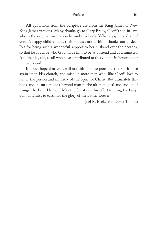All quotations from the Scripture are from the King James or New King James versions. Many thanks go to Gary Brady, Geoff's son-in-law, who is the original inspiration behind this book. What a joy he and all of Geoff's happy children and their spouses are to him! Thanks too to dear Iola for being such a wonderful support to her husband over the decades, so that he could be who God made him to be as a friend and as a minister. And thanks, too, to all who have contributed to this volume in honor of our mutual friend.

It is our hope that God will use this book to pour out the Spirit once again upon His church, and raise up more men who, like Geoff, love to honor the person and ministry of the Spirit of Christ. But ultimately this book and its authors look beyond man to the ultimate goal and end of all things, the Lord Himself. May the Spirit use this effort to bring the kingdom of Christ to earth for the glory of the Father forever!

-Joel R. Beeke and Derek Thomas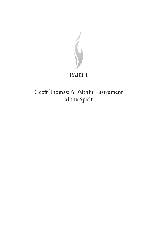

# Geoff Thomas: A Faithful Instrument of the Spirit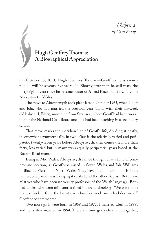C*hapter 1 by Gary Brady*

# **Hugh Geoffrey Thomas: A Biographical Appreciation**

On October 15, 2013, Hugh Geoffrey Thomas—Geoff, as he is known to all—will be seventy-five years old. Shortly after that, he will mark the forty-eighth year since he became pastor of Alfred Place Baptist Church in Aberystwyth, Wales.

The move to Aberystwyth took place late in October 1965, when Geoff and Iola, who had married the previous year (along with their six-week old baby girl, Eleri), moved up from Swansea, where Geoff had been working for the National Coal Board and Iola had been teaching in a secondary school.

That move marks the meridian line of Geoff's life, dividing it neatly, if somewhat asymmetrically, in two. First is the relatively varied and peripatetic twenty-seven years before Aberystwyth, then comes the more than forty, less varied but in many ways equally peripatetic, years based at the Buarth Road manse.

Being in Mid Wales, Aberystwyth can be thought of as a kind of compromise location, as Geoff was raised in South Wales and Iola Williams in Blaenau Ffestiniog, North Wales. They have much in common. In both homes, one parent was Congregationalist and the other Baptist. Both have relatives who have been university professors of the Welsh language. Both had uncles who were ministers trained in liberal theology. "We were both brands plucked from the burnt-over churches modernism had destroyed," Geoff once commented.

Two more girls were born in 1968 and 1972. I married Eleri in 1988, and her sisters married in 1994. There are nine grandchildren altogether,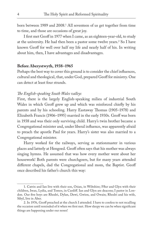born between 1989 and 2008.1 All seventeen of us get together from time to time, and those are occasions of great joy.

I first met Geoff in 1977 when I came, as an eighteen-year-old, to study at the university. He had then been a pastor some twelve years.<sup>2</sup> So I have known Geoff for well over half my life and nearly half of his. In writing about him, then, I have advantages and disadvantages.

#### **Before Aberystwyth, 1938–1965**

Perhaps the best way to cover this ground is to consider the chief influences, cultural and theological, that, under God, prepared Geoff for ministry. One can detect at least four strands.

#### *!e English-speaking South Wales valleys*

First, there is the largely English-speaking milieu of industrial South Wales in which Geoff grew up and which was reinforced chiefly by his parents and by his schooling. Harry Eastaway Thomas (1905–1978) and Elizabeth Francis (1906–1995) married in the early 1930s. Geoff was born in 1938 and was their only surviving child. Harry's twin brother became a Congregational minister and, under liberal influence, was apparently afraid to preach the apostle Paul for years. Harry's sister was also married to a Congregational minister.

Harry worked for the railways, serving as stationmaster in various places and latterly at Hengoed. Geoff often says that his mother was always singing hymns. He assumed that was how every mother went about her housework! Both parents were churchgoers, but for many years attended different chapels, dad the Congregational and mom, the Baptist. Geoff once described his father's church this way:

<sup>1.</sup> Catrin and Ian live with their son, Osian, in Wiltshire; Fflur and Glyn with their children, Iwan, Lydia, and Tomos, in Cardiff. Ian and Glyn are deacons; I pastor in London. Our five boys are Rhodri, Dylan, Dewi, Gwion, and Owain; Rhodri and his wife, Sibyl, live in Aber.

<sup>2.</sup> In 1976, Geoff preached at the church I attended. I have to confess to not recalling the occasion until reminded of it when we first met. How sleepy we can be when significant things are happening under our noses!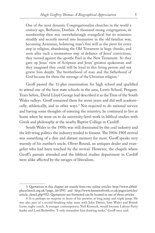One of the most dynamic Congregationalist churches in the world a century ago, Bethania, Dowlais. A thousand strong congregation, its membership then was overwhelmingly evangelical but its ministers steadily and secretly moved into humanism in the old familiar way, becoming Arminian, bolstering man's free will as the pivot for every step in religion, abandoning the Old Testament in huge chunks, and soon after such a momentous step of defiance of Jesus' convictions, they turned against the apostle Paul in the New Testament. So they gave up Jesus' view of Scripture and Jesus' greatest spokesman and they imagined they could still be loyal to this living person and not grieve him deeply. The brotherhood of man and the fatherhood of God became for them the message of the Christian religion.<sup>3</sup>

Geoff passed the 11-plus examination for high school and qualified to attend one of the best state schools in the area, Lewis School, Pengam. Years before, David Lloyd George had described it as the Eton of the South Wales valleys. Geoff remained there for seven years and did well academically, athletically, and in other ways.4 Not required to do national service and having some thoughts of entering the ministry, he continued to live at home when he went on to do university-level work in biblical studies with Greek and philosophy at the nearby Baptist College in Cardiff.

South Wales in the 1950s was still dominated by the coal industry and the left-wing politics the industry tended to foment. The 1904–1905 revival was something of a dim and distant memory for most. Geoff speaks very warmly of his mother's uncle, Oliver Bound, an antiques dealer and evangelist who had been touched by the revival. However, the chapels where Geoff's parents attended and the biblical studies department in Cardiff were alike affected by the ravages of liberalism.

<sup>3.</sup> Quotations in this chapter are mainly from two online articles: http://www.alfredplacechurch.org.uk/?page\_id=3593 and http://www.banneroftruth.co.uk/pages/articles/ article\_detail.php?932. Quotations not footnoted can be located in one of these articles.

<sup>4.</sup> It is perhaps no surprise to learn of his prowess at long jump and triple jump. He was also part of a record-breaking relay team with John Dawes, later Wales and British Lions rugby coach. A younger contemporary, Neil Kinnock, would become Labour Party leader and Lord Bedwellty. "I only remember him drawing tanks," Geoff once said.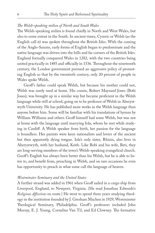#### *!e Welsh-speaking milieu of North and South Wales*

The Welsh-speaking milieu is found chiefly in North and West Wales, but also to some extent in the South. In ancient times, Cymric or Welsh (as the English call it) was spoken throughout the British Isles. With the coming of the Anglo-Saxons, early forms of English began to predominate and the native language was driven into the hills and far corners of the British Isles. England formally conquered Wales in 1282, with the two countries being united practically in 1485 and officially in 1536. Throughout the nineteenth century, the London government pursued an aggressive policy of promoting English so that by the twentieth century, only 20 percent of people in Wales spoke Welsh.

Geoff's father could speak Welsh, but because his mother could not, Welsh was rarely used at home. His cousin, Robert Maynard Jones (Bobi Jones), was brought up in a similar way but became proficient in the Welsh language while still at school, going on to be professor of Welsh in Aberystwyth University. He has published more works in the Welsh language than anyone before him. Some will be familiar with his translations of hymns by William Williams and others. Geoff himself had some Welsh, but was not at home with the language until marrying Iola, whom he met while studying in Cardiff. A Welsh speaker from birth, her passion for the language is boundless. Her parents were keen nationalists and lovers of the ancient but then apparently dying tongue. Iola's only sister, Rhiain, also lives in Aberystwyth, with her husband, Keith. Like Bobi and his wife, Beti, they are long-serving members of the town's Welsh-speaking evangelical church. Geoff's English has always been better than his Welsh, but he is able to listen to, and benefit from, preaching in Welsh, and on rare occasions he even has opportunity to preach in what some call the language of heaven.

#### *Westminster Seminary and the United States*

A further strand was added in 1961 when Geoff sailed in a cargo ship from Liverpool, England, to Newport, Virginia. (He read Jonathan Edwards's *Religious Affections* en route.) He went to spend three years studying theology in the institution founded by J. Gresham Machen in 1929, Westminster Theological Seminary, Philadelphia. Geoff's professors included John Murray, E. J. Young, Cornelius Van Til, and Ed Clowney. The formative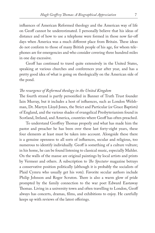influences of American Reformed theology and the American way of life on Geoff cannot be underestimated. I personally believe that his ideas of distance and of how to use a telephone were formed in those now far-off days when America was a much different place from Britain. These ideas do not conform to those of many British people of his age, for whom telephones are for emergencies and who consider covering three hundred miles in one day excessive.

Geoff has continued to travel quite extensively in the United States, speaking at various churches and conferences year after year, and has a pretty good idea of what is going on theologically on the American side of the pond.

#### *!e resurgence of Reformed theology in the United Kingdom*

The fourth strand is partly personified in Banner of Truth Trust founder Iain Murray, but it includes a host of influences, such as London Welshman, Dr. Martyn Lloyd-Jones, the Strict and Particular (or Grace Baptists) of England, and the various shades of evangelical Presbyterianism found in Scotland, Ireland, and America, countries where Geoff has often preached.

To understand Geoffrey Thomas properly and what has made him the pastor and preacher he has been over these last forty-eight years, these four elements at least must be taken into account. Alongside these there is a genuine openness to all sorts of influences, secular and religious, too numerous to identify individually. Geoff is something of a culture vulture; in his home, he can be found listening to classical music, especially Mahler. On the walls of the manse are original paintings by local artists and prints by Vermeer and others. A subscription to *!e Spectator* magazine betrays a conservative position politically (although it is probably the socialists of Plaid Cymru who usually get his vote). Favorite secular authors include Philip Johnson and Roger Scruton. There is also a warm glow of pride prompted by the family connection to the war poet Edward Eastaway Thomas. Living in a university town and often travelling to London, Geoff always has concerts, dramas, films, and exhibitions to enjoy. He carefully keeps up with reviews of the latest offerings.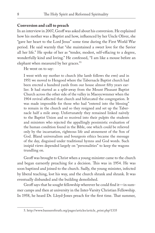#### **Conversion and call to preach**

In an interview in 2007, Geoff was asked about his conversion. He explained how his mother was a Baptist and how, influenced by her Uncle Oliver, she "gave her heart to the Lord Jesus" some time during the First World War period. He said warmly that "she maintained a sweet love for the Savior all her life." He spoke of her as "tender, modest, self-effacing to a degree, wonderfully kind and loving." He confessed, "I am like a mouse before an elephant when measured by her graces."5

He went on to say:

I went with my mother to church (the lamb follows the ewe) and in 1951 we moved to Hengoed where the Tabernacle Baptist church had been erected a hundred yards from our house almost fifty years earlier. It had started as a split-away from the Mount Pleasant Baptist Church across the other side of the valley in Maesycwmmer when the 1904 revival affected that church and bifurcated the congregation. It was made impossible for those who had "entered into the blessing" to remain in the church and so they resigned and set up the Tabernacle half a mile away. Unfortunately they remained linked naïvely to the Baptist Union and so received into their pulpits the students and ministers who rejected the appallingly pessimistic evaluation of the human condition found in the Bible, one which could be relieved only by the incarnation, righteous life and atonement of the Son of God. Bland universalism and bourgeois ethics became the message of the day, disguised under traditional hymns and God words. Such insipid views depended largely on "personalities" to keep the wagons trundling on.

Geoff was brought to Christ when a young minister came to the church and began earnestly preaching for a decision. This was in 1954. He was soon baptized and joined to the church. Sadly, the young minister, infected by liberal teaching, lost his way, and the church shrank and shrank. It was eventually disbanded and the building demolished.

Geoff says that he sought fellowship wherever he could find it—in summer camps and then at university in the Inter-Varsity Christian Fellowship. In 1958, he heard Dr. Lloyd-Jones preach for the first time. That summer,

<sup>5.</sup> http://www.banneroftruth.org/pages/articles/article\_print.php?1335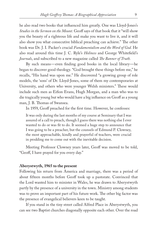he also read two books that influenced him greatly. One was Lloyd-Jones's *Studies in the Sermon on the Mount.* Geoff says of that book that it "will show you the beauty of a righteous life and make you want to live it, and it will also show you what consecutive biblical preaching can achieve." The other book was Dr. J. I. Packer's crucial *Fundamentalism and the Word of God.* He also read around this time J. C. Ryle's *Holiness* and George Whitefield's *Journals*, and subscribed to a new magazine called *!e Banner of Truth*.

By such means—even finding good books in the local library—he began to discover good theology. "God brought these things before me," he recalls, "His hand was upon me." He discovered "a growing group of role models, the 'sons' of Dr. Lloyd-Jones, some of them my contemporaries at University, and others who were younger Welsh ministers." These would include such men as Eifion Evans, Hugh Morgan, and a man who was to die tragically young but who would have a big influence on Geoff as a young man, J. B. Thomas of Swansea.

In 1959, Geoff preached for the first time. However, he confesses:

It was only during the last months of my course at Seminary that I was assured of a call to preach, though I guess there was nothing else I ever wanted to do or was fit to do. It seemed a huge step to announce that I was going to be a preacher, but the counsels of Edmund P. Clowney, the most approachable, kindly and prayerful of teachers, were crucial in prodding me to come out with the inevitable decision.

Meeting Professor Clowney years later, Geoff was moved to be told, "Geoff, I have prayed for you every day."

#### **Aberystwyth, 1965 to the present**

Following his return from America and marriage, there was a period of about fifteen months before Geoff took up a pastorate. Convinced that the Lord wanted him to minister in Wales, he was drawn to Aberystwyth partly by the presence of a university in the town. Ministry among students was to prove an important part of his future work. The other big factor was the presence of evangelical believers keen to be taught.

If you stand in the tiny street called Alfred Place in Aberystwyth, you can see two Baptist churches diagonally opposite each other. Over the road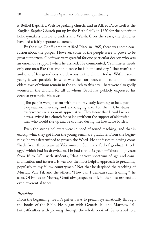is Bethel Baptist, a Welsh-speaking church, and in Alfred Place itself is the English Baptist Church put up by the Bethel folk in 1870 for the benefit of holidaymakers unable to understand Welsh. Over the years, the churches have led a fairly separate existence.

By the time Geoff came to Alfred Place in 1965, there was some confusion about the gospel. However, some of the people were to prove to be great supporters. Geoff was very grateful for one particular deacon who was an enormous support when he arrived. He commented, "A minister needs only one man like that and in a sense he is home and dry." That man's son and one of his grandsons are deacons in the church today. Within seven years, it was possible, in what was then an innovation, to appoint three elders, two of whom remain in the church to this day. There were also godly women in the church, for all of whom Geoff has publicly expressed his deepest gratitude. He says:

[The people were] patient with me in my early learning to be a pastor-preacher, checking and encouraging me. For them, Christians everywhere are also most appreciative. They know that I could never have survived in a church for so long without the support of older wise men who would rise up and be counted during the inevitable battles.

Even the strong believers were in need of sound teaching, and that is exactly what they got from the young seminary graduate. From the beginning, he was determined to preach the Word. He confesses to having come "back from three years at Westminster Seminary full of graduate theology," which had its drawbacks. He had spent six years—"those long years from 18 to 24"—with students, "that narrow spectrum of age and communication and interest. It was not the most helpful approach to preaching popularly to my fellow countrymen." Not that he despised the teaching of Murray, Van Til, and the others. "How can I demean such training?" he asks. Of Professor Murray, Geoff always speaks only in the most respectful, even reverential tones.

#### *Preaching*

From the beginning, Geoff's pattern was to preach systematically through the books of the Bible. He began with Genesis 1:1 and Matthew 1:1, but difficulties with plowing through the whole book of Genesis led to a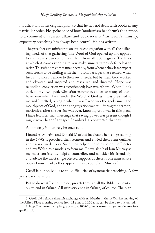modification of his original plan, so that he has not dealt with books in any particular order. He spoke once of how "modernism has shrunk the sermon to a comment on current affairs and book reviews." In Geoff's ministry, expository preaching has always been central. He has written:

The preacher can minister to an entire congregation with all the differing needs of that gathering. The Word of God opened up and applied to the hearers can come upon them from all 360 degrees. The lines at which it comes running to you make sinners utterly defenceless to resist. This wisdom comes unexpectedly, from whence they least expect such truths to be dealing with them, from passages that seemed, when first announced, remote to their own needs, but by them God worked and elevated and inspired and reassured and directed. Hope was rekindled; conviction was experienced; love was reborn. When I look back to my own peak Christian experiences then so many of them have been when I was under the Word of God as it was preached to me and I melted, or again when it was I who was the spokesman and mouthpiece of God, and the congregation was still during the sermon, motionless after the service was over, knowing God was in this place. I have felt after such meetings that saving power was present though I might never hear of any specific individuals converted that day.

As for early influences, he once said:

I found Al Martin<sup>6</sup> and Donald Macleod invaluable helps in preaching in the 1970s. I preached their sermons and envied their clear outlines and passion in delivery. Such men helped me to build on the Doctor and my Welsh role models to form me. I have also had Iain Murray as my most consistently helpful counsellor, and consider his friendship and advice the most single blessed support. If there is one man whose books I must read as they appear it has to be…Iain Murray.7

Geoff is not oblivious to the difficulties of systematic preaching. A few years back he wrote:

But to do what I set out to do, preach through all the Bible, is inevitably to end in failure. All ministry ends in failure, of course. The plan

<sup>6.</sup> Geoff did a six-week pulpit exchange with Al Martin in the 1970s. The moving of the Alfred Place morning service from 11 a.m. to 10:30 a.m. can be dated to this period.

<sup>7.</sup> http://menforministry.blogspot.co.uk/2007/10/men-for-ministry-interview-seriesgeoff.html.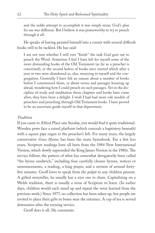and the noble attempt to accomplish it was simply mine; God's plan for me was different. But I believe it was praiseworthy to try to preach through it all.

He speaks of having painted himself into a corner with several difficult books still to be tackled. He has said:

I am not sure whether I will ever "finish" the task God gave me to preach the Word. Sometime I feel I have left for myself some of the more demanding books of the Old Testament (as far as a preacher is concerned), or the second halves of books once started which after a year or two were abandoned as, alas, wearying to myself and the congregation. Generally I have felt an unease about a number of books before I commenced them, or about verses and passages looming up ahead, wondering how I could preach on such passages. Yet in the discipline of study and meditation those chapters and books have come alive; they have been a delight. I wish I had had more role models of preachers and preaching through Old Testament books. I have proved to be an uncertain guide myself in that department.

#### *Tradition*

If you came to Alfred Place one Sunday, you would find it quite traditional. Wooden pews face a raised platform (which conceals a baptistery beneath) with a square pipe organ to the preacher's left. For many years, the largely conservative *Grace Hymns* has been the main hymnbook. For a few less years, Scripture readings have all been from the 1984 New International Version, which slowly superseded the King James Version in the 1980s. The service follows the pattern of what has somewhat derogatorily been called "the hymn sandwich," including four carefully chosen hymns, notices or announcements, a reading, a long prayer, and a sermon of around forty five minutes. Geoff loves to speak from the pulpit to any children present. A gifted storyteller, he usually has a nice one to share. Capitalizing on a Welsh tradition, there is usually a verse of Scripture to learn. (In earlier days, children would each stand up and repeat the verse learned from the previous week.) Since 1977, no collection has been taken up, but people are invited to place their gifts in boxes near the entrance. A cup of tea is served downstairs after the evening service.

Geoff does it all. He comments: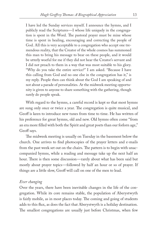I have led the Sunday services myself. I announce the hymns, and I publicly read the Scriptures—I whose life uniquely in the congregation is spent in the Word. The pastoral prayer must be mine whose time is spent in healing, encouraging and correcting the people of God. All this is very acceptable to a congregation who accept one tremendous reality, that the Creator of the whole cosmos has summoned this man to bring his message to bear on these people, and it would be utterly woeful for me if they did not hear the Creator's servant and I did not preach to them in a way that was most suitable to his glory. "Why do you take the entire service?" I am asked. "Because I have this calling from God and no one else in the congregation has it," is my reply. People then can think about the God I am speaking of and not about a parade of personalities. At the midweek meeting opportunity is given to anyone to share something with the gathering, though rarely do people speak.

With regard to the hymns, a careful record is kept so that most hymns are sung only once or twice a year. The congregation is quite musical, and Geoff is keen to introduce new tunes from time to time. He has written of his preference for great hymns, old and new. Old hymns often come "from an era more filled with both the Spirit and great poets than our forlorn age," Geoff says.

The midweek meeting is usually on Tuesday in the basement below the church. One arrives to find photocopies of the prayer letters and e-mails from the past week set out on the chairs. The pattern is to begin with unaccompanied hymns, while a reading and message take up the next half an hour. There is then some discussion—rarely about what has been said but mostly about prayer topics—followed by half an hour or so of prayer. If things are a little slow, Geoff will call on one of the men to lead.

#### *Ever changing*

Over the years, there have been inevitable changes in the life of the congregation. While its core remains stable, the population of Aberystwyth is fairly mobile, as in most places today. The coming and going of students adds to this flux, as does the fact that Aberystwyth is a holiday destination. The smallest congregations are usually just before Christmas, when few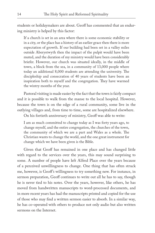students or holidaymakers are about. Geoff has commented that an enduring ministry is helped by this factor:

If a church is set in an area where there is some economic stability or in a city, or the place has a history of an earlier grace then there is more expectation of growth. If our building had been set in a valley miles outside Aberystwyth then the impact of the pulpit would have been muted, and the duration of my ministry would have been considerably briefer. However, our church was situated ideally, in the middle of town, a block from the sea, in a community of 13,000 people where today an additional 8,000 students are attending the university. The discipleship and consecration of 40 years of students have been an inspiration both to myself and the congregation. They have warmed the wintry months of the year.

Pastoral visiting is made easier by the fact that the town is fairly compact and it is possible to walk from the manse to the local hospital. However, because the town is on the edge of a rural community, some live in the outlying villages and, from time to time, some are hospitalized elsewhere.

On his fortieth anniversary of ministry, Geoff was able to write:

I am as much committed to change today as I was forty years ago, to change myself, and the entire congregation, the churches of the town, the community of which we are a part and Wales as a whole. The Christian wants to change the world, and the one great instrument for change which we have been given is the Bible.

Given that Geoff has remained in one place and has changed little with regard to the services over the years, this may sound surprising to some. A number of people have left Alfred Place over the years because of a perceived unwillingness to change. One thing that has often struck me, however, is Geoff's willingness to try something new. For instance, in sermon preparation, Geoff continues to write out all he has to say, though he is never tied to his notes. Over the years, however, like others, he has moved from handwritten manuscripts to word-processed documents, and in more recent years has had the manuscripts printed and copied for the use of those who may find a written sermon easier to absorb. In a similar way, he has co-operated with others to produce not only audio but also written sermons on the Internet.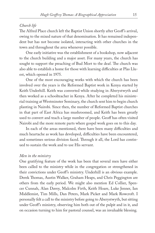#### *Church life*

The Alfred Place church left the Baptist Union shortly after Geoff's arrival, owing to the mixed nature of that denomination. It has remained independent but has not become isolated, interacting with other churches in the town and throughout the area whenever possible.

One early initiative was the establishment of a bookshop, now adjacent to the church building and a major asset. For many years, the church has sought to support the preaching of Bud Mort to the deaf. The church was also able to establish a home for those with learning difficulties at Plas Lluest, which opened in 1975.

One of the most encouraging works with which the church has been involved over the years is the Reformed Baptist work in Kenya started by Keith Underhill. Keith was converted while studying in Aberystwyth and then worked as a schoolteacher in Kenya. After he completed his ministerial training at Westminster Seminary, the church sent him to begin church planting in Nairobi. Since then, the number of Reformed Baptist churches in that part of East Africa has mushroomed, and Keith has been greatly used to convert and teach a large number of people. Geoff has often visited Nairobi and the more remote parts where gospel work goes on to this day.

In each of the areas mentioned, there have been many difficulties and much heartache as work has developed, difficulties have been encountered, and sometimes serious division faced. Through it all, the Lord has continued to sustain the work and to use His servant.

#### *Men in the ministry*

One gratifying feature of the work has been that several men have either been called to the ministry while in the congregation or strengthened in their convictions under Geoff's ministry. Underhill is an obvious example. Derek Thomas, Austin Walker, Graham Heaps, and Chris Peggington are others from the early period. We might also mention Ed Collier, Spencer Cunnah, Alan Davey, Malcolm Firth, Keith Hoare, Luke Jenner, Ian Middlemist, Tim Mills, Dan Peters, Mark Picket and Mark Rowcroft. I personally felt a call to the ministry before going to Aberystwyth, but sitting under Geoff's ministry, observing him both out of the pulpit and in it, and on occasion turning to him for pastoral counsel, was an invaluable blessing.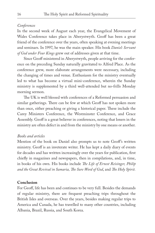#### *Conferences*

In the second week of August each year, the Evangelical Movement of Wales Conference takes place in Aberystwyth. Geoff has been a great friend of the conference over the years, often speaking at evening meetings and seminars. In 1997, he was the main speaker. His book *Daniel: Servant of God under Four Kings* grew out of addresses given at that time.

Since Geoff ministered in Aberystwyth, people arriving for the conference on the preceding Sunday naturally gravitated to Alfred Place. As the conference grew, more elaborate arrangements were necessary, including the changing of times and venue. Enthusiasm for the ministry eventually led to what has become a virtual mini-conference, wherein the Sunday ministry is supplemented by a third well-attended but no-frills Monday morning sermon.

The UK is well blessed with conferences of a Reformed persuasion and similar gatherings. There can be few at which Geoff has not spoken more than once, either preaching or giving a historical paper. These include the Carey Ministers Conference, the Westminster Conference, and Grace Assembly. Geoff is a great believer in conferences, noting that loners in the ministry are often defect in and from the ministry by one means or another.

#### *Books and articles*

Mention of the book on Daniel also prompts us to note Geoff's written ministry. Geoff is an inveterate writer. He has kept a daily diary of events for decades and has written increasingly over the years for publication, first chiefly in magazines and newspapers, then in compilations, and, in time, in books of his own. His books include *The Life of Ernest Reisinger, Philip and the Great Revival in Samaria, !e Sure Word of God*, and *!e Holy Spirit.*

#### **Conclusion**

For Geoff, life has been and continues to be very full. Besides the demands of regular ministry, there are frequent preaching trips throughout the British Isles and overseas. Over the years, besides making regular trips to America and Canada, he has travelled to many other countries, including Albania, Brazil, Russia, and South Korea.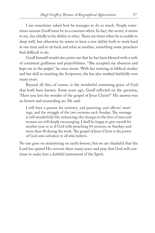I am sometimes asked how he manages to do so much. People sometimes assume Geoff must be in a constant whirr. In fact, the secret, it seems to me, lies chiefly in his ability to relax. There are times when he is unable to sleep well, but otherwise he seems to have a rare ability both to work hard at one time and to sit back and relax at another, something some preachers find difficult to do.

Geoff himself would also point out that he has been blessed with a wife of consistent godliness and prayerfulness. "She accepted my absences and kept me in the pulpit," he once wrote. With her training in biblical studies and her skill in teaching the Scriptures, she has also worked faithfully over many years.

Beyond all this, of course, is the wonderful sustaining grace of God that both have known. Some years ago, Geoff reflected on the question, "Have you lost the wonder of the gospel of Jesus Christ?" His answer was an honest and resounding no. He said:

I still have a passion for ministry, and pastoring, and officers' meetings, and the struggle of the two sermons each Sunday. The message is still wonderfully life-enhancing; the changes in the lives of men and women are still deeply encouraging. I shall be happy to give myself for another year or so if God wills preaching 84 sermons on Sundays and more than 40 during the week. The gospel of Jesus Christ is the power of God unto salvation to all who believe.

No one goes on ministering on earth forever, but we are thankful that the Lord has spared His servant these many years and pray that God will continue to make him a faithful instrument of the Spirit.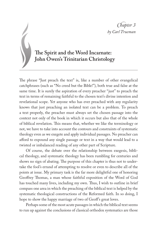# **!e Spirit and the Word Incarnate: John Owen's Trinitarian Christology**

The phrase "Just preach the text" is, like a number of other evangelical catchphrases (such as "No creed but the Bible!"), both true and false at the same time. It is surely the aspiration of every preacher "just" to preach the text in terms of remaining faithful to the chosen text's divine intention and revelational scope. Yet anyone who has ever preached with any regularity knows that just preaching an isolated text can be a problem. To preach a text properly, the preacher must always set the chosen passage into the context not only of the book in which it occurs but also that of the whole of biblical revelation. This means that, whether we like the terminology or not, we have to take into account the contours and constraints of systematic theology even as we exegete and apply individual passages. No preacher can afford to expound any single passage or text in a way that would lead to a twisted or imbalanced reading of any other part of Scripture.

Of course, the debate over the relationship between exegesis, biblical theology, and systematic theology has been rumbling for centuries and shows no sign of abating. The purpose of this chapter is thus not to undertake the fool's errand of attempting to resolve or even to describe all of the points at issue. My primary task is the far more delightful one of honoring Geoffrey Thomas, a man whose faithful exposition of the Word of God has touched many lives, including my own. Thus, I wish to outline in brief compass one area in which the preaching of the biblical text is helped by the systematic theological constructions of the Reformed faith. In so doing, I hope to show the happy marriage of two of Geoff's great loves.

Perhaps some of the most acute passages in which the biblical text seems to run up against the conclusions of classical orthodox systematics are those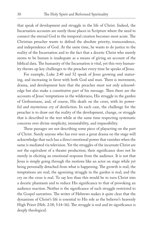that speak of development and struggle in the life of Christ. Indeed, the Incarnation accounts are surely those places in Scripture where the need to connect the eternal God to the temporal creation becomes most acute. The Christian preacher wants to defend the absolute priority, transcendence, and independence of God. At the same time, he wants to do justice to the reality of the Incarnation and to the fact that a docetic Christ who merely seems to be human is inadequate as a means of giving an account of the biblical data. The humanity of the Incarnation is vital, yet this very humanity throws up key challenges to the preacher every time he speaks of Jesus.

For example, Luke 2:40 and 52 speak of Jesus growing and maturing, and increasing in favor with both God and man. There is movement, drama, and development here that the preacher must not only acknowledge but also make a constitutive part of his message. Then there are the accounts of Jesus' temptations in the wilderness, His struggle in the garden of Gethsemane, and, of course, His death on the cross, with its powerful and mysterious cry of dereliction. In each case, the challenge for the preacher is to draw out the reality of the development, change, or struggle that is described in the text while at the same time respecting systematic concerns over divine simplicity, immutability, and impassibility.

These passages are not describing some piece of playacting on the part of Christ. Surely anyone who has ever seen a great drama on the stage will acknowledge that such has a direct emotional power that vanishes when the same is mediated via television. Yet the struggles of the incarnate Christ are not the equivalent of a theater production; their significance does not lie merely in eliciting an emotional response from the audience. It is not that Jesus is simply going through the motions like an actor on stage while yet being personally detached from what is happening. The growth is real; the temptations are real; the agonizing struggle in the garden is real; and the cry on the cross is real. To say less than this would be to turn Christ into a docetic phantasm and to reduce His significance to that of provoking an audience reaction. Neither is the significance of such struggle restricted to the Gospel narratives. The writer of Hebrews makes it quite clear that the dynamism of Christ's life is essential to His role as the believer's heavenly High Priest (Heb. 2:18; 5:14–16). The struggle is real and its significance is deeply theological.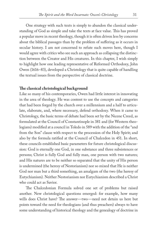One strategy with such texts is simply to abandon the classical understanding of God as simple and take the texts at face value. This has proved a popular move in recent theology, though it is often driven less by concerns about the biblical passages than by the problem of suffering as it occurs in secular history. I am not concerned to refute such moves here, though I would agree with critics who see such an approach as collapsing the distinction between the Creator and His creatures. In this chapter, I wish simply to highlight how one leading representative of Reformed Orthodoxy, John Owen (1616–83), developed a Christology that is quite capable of handling the textual issues from the perspective of classical doctrine.

#### **!e classical christological background**

Like so many of his contemporaries, Owen had little interest in innovating in the area of theology. He was content to use the concepts and categories that had been forged by the church over a millennium and a half to articulate, elaborate, and, where necessary, defend orthodoxy. When it came to Christology, the basic terms of debate had been set by the Nicene Creed, as formulated at the Council of Constantinople in 381 and (for Western theologians) modified at a council in Toledo in 589 with the addition of the "and from the Son" clause with respect to the procession of the Holy Spirit; and also by the formula ratified at the Council of Chalcedon in 451. In short, these councils established basic parameters for future christological discussion: God is eternally one God, in one substance and three subsistences or persons; Christ is fully God and fully man, one person with two natures; and His natures are to be neither so separated that the unity of His person is undermined (the heresy of Nestorianism) nor so mixed that He is neither God nor man but a third something, an amalgam of the two (the heresy of Eutychianism). Neither Nestorianism nor Eutychianism described a Christ who could act as Savior.

The Chalcedonian Formula solved one set of problems but raised another. New christological questions emerged: for example, how many wills does Christ have? The answer—two—need not detain us here but points toward the need for theologians (and thus preachers) always to have some understanding of historical theology and the genealogy of doctrine in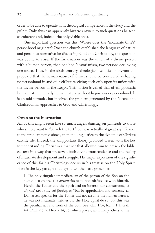order to be able to operate with theological competence in the study and the pulpit. Only thus can apparently bizarre answers to such questions be seen as coherent and, indeed, the only viable ones.

One important question was this: Where does the "incarnate One's" personhood originate? Once the church established the language of nature and person as normative for discussing God and Christology, this question was bound to arise. If the Incarnation was the union of a divine person with a human person, then one had Nestorianism, two persons occupying one space. Thus, in the sixth century, theologian Leontius of Byzantium proposed that the human nature of Christ should be considered as having no personhood in and of itself but receiving such only upon its union with the divine person of the Logos. This notion is called that of anhypostatic human nature, literally human nature without hypostasis or personhood. It is an odd formula, but it solved the problem generated by the Nicene and Chalcedonian approaches to God and Christology.

#### **Owen on the Incarnation**

All of this might seem like so much angels dancing on pinheads to those who simply want to "preach the text," but it is actually of great significance to the problem noted above, that of doing justice to the dynamic of Christ's earthly life. Indeed, the anhypostasis theory provided Owen with the key to understanding Christ in a manner that allowed him to preach the biblical text in a way that preserved both divine transcendence and the reality of incarnate development and struggle. His major exposition of the significance of this for his Christology occurs in his treatise on the Holy Spirit. Here is the key passage that lays down the basic principles:

1. The only singular immediate *act* of the person of the Son on the human nature was the *assumption* of it into subsistence with himself. Herein the Father and the Spirit had no interest nor concurrence,  $\epsilon i$ μή κατ' εύδοκίαν καὶ βούλησιν, "but by approbation and consent," as Damascen speaks: for the Father did not assume the human nature, he was not incarnate; neither did the Holy Spirit do so; but this was the peculiar act and work of the Son. See John 1:14; Rom. 1:3; Gal. 4:4; Phil. 2:6, 7; Heb. 2:14, 16; which places, with many others to the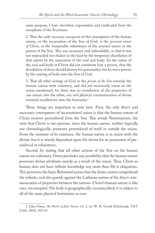same purpose, I have elsewhere expounded, and vindicated from the exceptions of the Socinians.

2. That the only *necessary consequent* of this assumption of the human nature, or the incarnation of the Son of God, is the *personal union of Christ*, or the inseparable subsistence of the *assumed nature* in the person of the Son. This was necessary and indissoluble, so that it was not impeached nor shaken in the least by the temporary dissolution of that nature by the separation of the soul and body: for the union of the soul and body in Christ did not constitute him a person, that the dissolution of them should destroy his personality; but he was a person by the uniting of both unto the Son of God.

3. That all other actings of God in the *person of the Son* towards the human nature were *voluntary*, and did not necessarily ensue on the union mentioned; for there was no transfusion of the properties of one nature into the other, nor real physical communication of divine essential excellencies unto the humanity.<sup>1</sup>

Three things are important to note here. First, the only direct and necessary consequence of incarnational union is that the human nature of Christ receives personhood from the Son. This avoids Nestorianism, the view that Christ is two persons, since the human nature, neither logically nor chronologically, possesses personhood of itself or outside the union. From the moment of its existence, the human nature is in union with the divine; but it is utterly dependent upon the divine for its possession of personhood or subsistence.

Second, by stating that all other actions of the Son on the human nature are voluntary, Owen precludes any possibility that the human nature possesses divine attributes merely as a result of the union. Thus, Christ as human does not have infinite knowledge any more than He is ubiquitous. This preserves the basic Reformed axiom that the finite cannot comprehend the infinite, and also guards against the Lutheran notion of the direct communication of properties between the natures. Christ's human nature is like ours, sin excepted. His body is geographically circumscribed; it is subject to all of the same physical limitations as ours.

<sup>1.</sup> John Owen, *!e Works of John Owen*, vol. 3, ed. W. H. Goold (Edinburgh: T&T Clark, 1862), 160–61.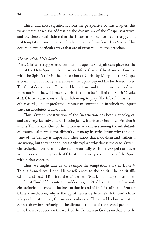Third, and most significant from the perspective of this chapter, this view creates space for addressing the dynamism of the Gospel narratives and the theological claims that the Incarnation involves real struggle and real temptation, and these are fundamental to Christ's work as Savior. This occurs in two particular ways that are of great value to the preacher.

#### *!e role of the Holy Spirit*

First, Christ's struggles and temptations open up a significant place for the role of the Holy Spirit in the incarnate life of Christ. Christians are familiar with the Spirit's role in the conception of Christ by Mary, but the Gospel accounts contain many references to the Spirit beyond the birth narratives. The Spirit descends on Christ at His baptism and then immediately drives Him out into the wilderness. Christ is said to be "full of the Spirit" (Luke 4:1). Christ is also constantly withdrawing to pray. The life of Christ is, in other words, one of profound Trinitarian communion in which the Spirit plays an absolutely crucial role.

Thus, Owen's construction of the Incarnation has both a theological and an exegetical advantage. Theologically, it drives a view of Christ that is utterly Trinitarian. One of the notorious weaknesses among the inhabitants of evangelical pews is the difficulty of many in articulating why the doctrine of the Trinity is important. They know that modalism and tritheism are wrong, but they cannot necessarily explain why that is the case. Owen's christological formulations dovetail beautifully with the Gospel narratives as they describe the growth of Christ to maturity and the role of the Spirit within that context.

Thus, we might take as an example the temptation story in Luke 4. This is framed (vv. 1 and 14) by references to the Spirit. The Spirit fills Christ and leads Him into the wilderness (Mark's language is stronger: the Spirit "hurls" Him into the wilderness, 1:12). Clearly the text demands christological nuance: if the Incarnation in and of itself is fully sufficient for Christ's mediation, why is the Spirit necessary here? With Owen's christological construction, the answer is obvious: Christ in His human nature cannot draw immediately on the divine attributes of the second person but must learn to depend on the work of the Trinitarian God as mediated to the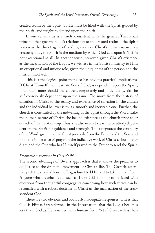created realm by the Spirit. So He must be #lled with the Spirit, guided by the Spirit, and taught to depend upon the Spirit.

In one sense, this is entirely consistent with the general Trinitarian principle that governs God's relationship to the created realm—the Spirit is seen as the direct agent of, and in, creation. Christ's human nature is a creature; thus, the Spirit is the medium by which God acts upon it. This is not exceptional at all. In another sense, however, given Christ's existence as the incarnation of the Logos, we witness in the Spirit's ministry to Him an exceptional and unique role, given the uniqueness of the person and the mission involved.

This is a theological point that also has obvious practical implications. If Christ Himself, the incarnate Son of God, is dependent upon the Spirit, how much more should the church, corporately and individually, also be self-consciously dependent upon the same? The move from the history of salvation in Christ to the reality and experience of salvation in the church and the individual believer is thus a smooth and inevitable one. Further, the church is constituted by the indwelling of the Spirit through the Word. Like the human nature of Christ, she has no existence as the church prior to or outside of that relationship. Thus, she also needs to learn to be utterly dependent on the Spirit for guidance and strength. This safeguards the centrality of the Word, given that the Spirit proceeds from the Father and the Son, and roots the imperative of prayer in the indicative work of Christ as both paradigm and the One who has Himself prayed to the Father to send the Spirit.

#### *Dramatic movement in Christ's life*

The second advantage of Owen's approach is that it allows the preacher to do justice to the dramatic movement of Christ's life. The Gospels essentially tell the story of how the Logos humbled Himself to take human flesh. Anyone who preaches texts such as Luke 2:52 is going to be faced with questions from thoughtful congregants concerning how such verses can be reconciled with a robust doctrine of Christ as the incarnation of the transcendent God.

There are two obvious, and obviously inadequate, responses. One is that God is Himself transformed in the Incarnation, that the Logos becomes less than God as He is united with human flesh. Yet if Christ is less than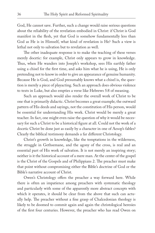God, He cannot save. Further, such a change would raise serious questions about the reliability of the revelation embodied in Christ: if Christ is God manifest in the flesh, yet that God is somehow fundamentally less than God as He is in Himself, what kind of revelation is He? Such a view is lethal not only to salvation but to revelation as well.

The other inadequate response is to make the teaching of these verses merely docetic: for example, Christ only appears to grow in knowledge. Thus, when He wanders into Joseph's workshop, sees His earthly father using a chisel for the first time, and asks him what he is using, He is only pretending not to know in order to give an appearance of genuine humanity. Because He is God, and God presumably knows what a chisel is, the question is merely a piece of playacting. Such an approach does obvious violence to texts in Luke, but also empties a verse like Hebrews 5:8 of meaning.

Such an approach would also render the overall work of Christ to be one that is primarily didactic. Christ becomes a great example; the outward pattern of His deeds and sayings, not the constitution of His person, would be essential for understanding His work. Christ would be merely a great teacher. In fact, one might even raise the question of why it would be necessary for such a Christ to be a historical figure at all. Could not the work of a docetic Christ be done just as easily by a character in one of Aesop's fables? Clearly the biblical testimony demands a far different Christology.

Christ's growth in knowledge, like the temptations in the wilderness, the struggle in Gethsemane, and the agony of the cross, is real and an essential part of His work of salvation. It is not merely an inspiring story; neither is it the historical account of a mere man. At the center of the gospel is the Christ of the Gospels and of Philippians 2. The preacher must make that point without compromising either the Bible's doctrine of God or the Bible's narrative account of Christ.

Owen's Christology offers the preacher a way forward here. While there is often an impatience among preachers with systematic theology and particularly with some of the apparently more abstract concepts with which it operates, it should be clear from the above that such can actually help. The preacher without a fine grasp of Chalcedonian theology is likely to be doomed to commit again and again the christological heresies of the first four centuries. However, the preacher who has read Owen on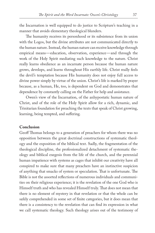the Incarnation is well equipped to do justice to Scripture's teaching in a manner that avoids elementary theological blunders.

The humanity receives its personhood or its subsistence from its union with the Logos, but the divine attributes are not communicated directly to the human nature. Instead, the human nature can receive knowledge through empirical means—education, observation, experience—and through the work of the Holy Spirit mediating such knowledge to the nature. Christ really learns obedience as an incarnate person because the human nature grows, develops, and learns throughout His earthly life. Christ really feels the devil's temptation because His humanity does not enjoy full access to divine power simply by virtue of the union. Christ's life is marked by prayer because, as a human, He, too, is dependent on God and demonstrates that dependence by constantly calling on the Father for help and assistance.

Owen's view of the Incarnation, of the anhypostatic human nature of Christ, and of the role of the Holy Spirit allow for a rich, dynamic, and Trinitarian foundation for preaching the texts that speak of Christ growing, learning, being tempted, and suffering.

#### **Conclusion**

Geoff Thomas belongs to a generation of preachers for whom there was no opposition between the great doctrinal constructions of systematic theology and the exposition of the biblical text. Sadly, the fragmentation of the theological discipline, the professionalized detachment of systematic theology and biblical exegesis from the life of the church, and the perennial human impatience with systems as cages that inhibit our creativity have all conspired to make sure that many preachers have an instinctive suspicion of anything that smacks of system or speculation. That is unfortunate. The Bible is not the assorted reflections of numerous individuals and communities on their religious experience; it is the revelation of the one God who is Himself truth and who has revealed Himself truly. That does not mean that there is no element of mystery in that revelation or that the whole can be safely comprehended in some set of finite categories, but it does mean that there is a consistency to the revelation that can find its expression in what we call systematic theology. Such theology arises out of the testimony of